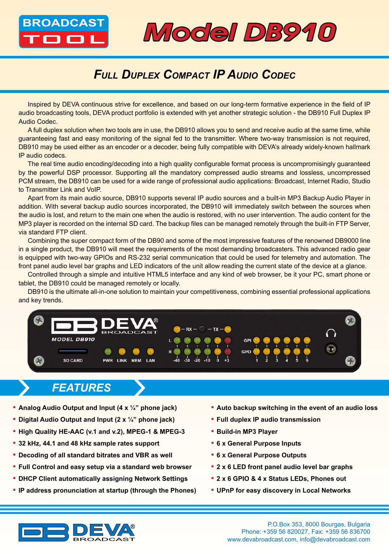



## *Full Duplex Compact IP Audio Codec*

Inspired by DEVA continuous strive for excellence, and based on our long-term formative experience in the field of IP audio broadcasting tools, DEVA product portfolio is extended with yet another strategic solution - the DB910 Full Duplex IP Audio Codec.

A full duplex solution when two tools are in use, the DB910 allows you to send and receive audio at the same time, while guaranteeing fast and easy monitoring of the signal fed to the transmitter. Where two-way transmission is not required, DB910 may be used either as an encoder or a decoder, being fully compatible with DEVA's already widely-known hallmark IP audio codecs.

The real time audio encoding/decoding into a high quality configurable format process is uncompromisingly guaranteed by the powerful DSP processor. Supporting all the mandatory compressed audio streams and lossless, uncompressed PCM stream, the DB910 can be used for a wide range of professional audio applications: Broadcast, Internet Radio, Studio to Transmitter Link and VoIP.

Apart from its main audio source, DB910 supports several IP audio sources and a built-in MP3 Backup Audio Player in addition. With several backup audio sources incorporated, the DB910 will immediately switch between the sources when the audio is lost, and return to the main one when the audio is restored, with no user intervention. The audio content for the MP3 player is recorded on the internal SD card. The backup files can be managed remotely through the built-in FTP Server, via standard FTP client.

Combining the super compact form of the DB90 and some of the most impressive features of the renowned DB9000 line in a single product, the DB910 will meet the requirements of the most demanding broadcasters. This advanced radio gear is equipped with two-way GPIOs and RS-232 serial communication that could be used for telemetry and automation. The front panel audio level bar graphs and LED indicators of the unit allow reading the current state of the device at a glance.

Controlled through a simple and intuitive HTML5 interface and any kind of web browser, be it your PC, smart phone or tablet, the DB910 could be managed remotely or locally.

DB910 is the ultimate all-in-one solution to maintain your competitiveness, combining essential professional applications and key trends.



## *FEATURES*

- **• Analog Audio Output and Input (4 x ¼" phone jack)**
- **• Digital Audio Output and Input (2 x ¼" phone jack)**
- **• High Quality HE-AAC (v.1 and v.2), MPEG-1 & MPEG-3**
- **• 32 kHz, 44.1 and 48 kHz sample rates support**
- **• Decoding of all standard bitrates and VBR as well**
- **• Full Control and easy setup via a standard web browser**
- **• DHCP Client automatically assigning Network Settings**
- **• IP address pronunciation at startup (through the Phones)**
- **• Auto backup switching in the event of an audio loss**
- **• Full duplex IP audio transmission**
- **• Build-in MP3 Player**
- **• 6 x General Purpose Inputs**
- **• 6 x General Purpose Outputs**
- **• 2 x 6 LED front panel audio level bar graphs**
- **• 2 x 6 GPIO & 4 x Status LEDs, Phones out**
- **• UPnP for easy discovery in Local Networks**